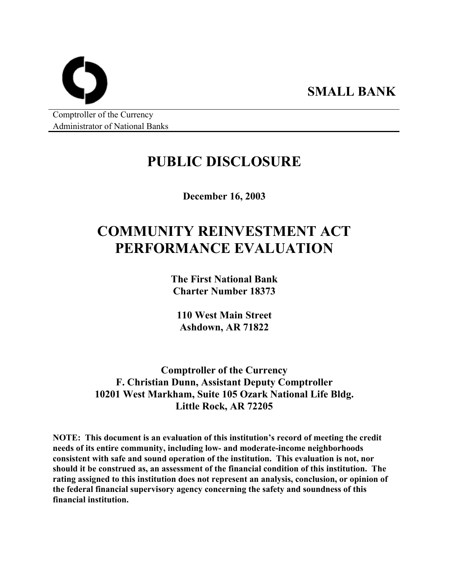Comptroller of the Currency Administrator of National Banks

## **PUBLIC DISCLOSURE**

**SMALL BANK** 

**December 16, 2003** 

# **COMMUNITY REINVESTMENT ACT PERFORMANCE EVALUATION**

**The First National Bank Charter Number 18373** 

**110 West Main Street Ashdown, AR 71822** 

**Comptroller of the Currency F. Christian Dunn, Assistant Deputy Comptroller 10201 West Markham, Suite 105 Ozark National Life Bldg. Little Rock, AR 72205** 

**NOTE: This document is an evaluation of this institution's record of meeting the credit needs of its entire community, including low- and moderate-income neighborhoods consistent with safe and sound operation of the institution. This evaluation is not, nor should it be construed as, an assessment of the financial condition of this institution. The rating assigned to this institution does not represent an analysis, conclusion, or opinion of the federal financial supervisory agency concerning the safety and soundness of this financial institution.**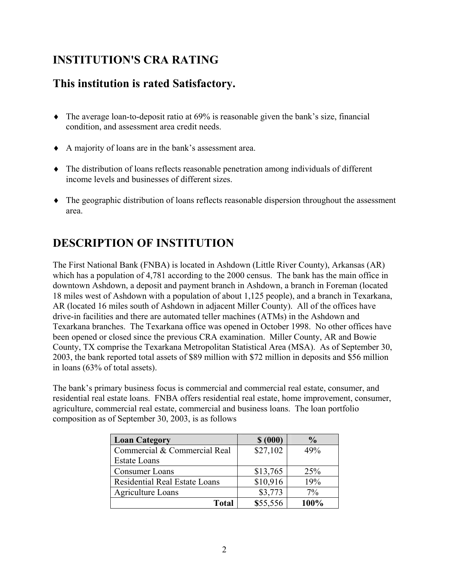## **INSTITUTION'S CRA RATING**

## **This institution is rated Satisfactory.**

- ♦ The average loan-to-deposit ratio at 69% is reasonable given the bank's size, financial condition, and assessment area credit needs.
- ♦ A majority of loans are in the bank's assessment area.
- ♦ The distribution of loans reflects reasonable penetration among individuals of different income levels and businesses of different sizes.
- ♦ The geographic distribution of loans reflects reasonable dispersion throughout the assessment area.

## **DESCRIPTION OF INSTITUTION**

The First National Bank (FNBA) is located in Ashdown (Little River County), Arkansas (AR) which has a population of 4,781 according to the 2000 census. The bank has the main office in downtown Ashdown, a deposit and payment branch in Ashdown, a branch in Foreman (located 18 miles west of Ashdown with a population of about 1,125 people), and a branch in Texarkana, AR (located 16 miles south of Ashdown in adjacent Miller County). All of the offices have drive-in facilities and there are automated teller machines (ATMs) in the Ashdown and Texarkana branches. The Texarkana office was opened in October 1998. No other offices have been opened or closed since the previous CRA examination. Miller County, AR and Bowie County, TX comprise the Texarkana Metropolitan Statistical Area (MSA). As of September 30, 2003, the bank reported total assets of \$89 million with \$72 million in deposits and \$56 million in loans (63% of total assets).

The bank's primary business focus is commercial and commercial real estate, consumer, and residential real estate loans. FNBA offers residential real estate, home improvement, consumer, agriculture, commercial real estate, commercial and business loans. The loan portfolio composition as of September 30, 2003, is as follows

| <b>Loan Category</b>                 | \$ (000) | $\frac{0}{0}$ |
|--------------------------------------|----------|---------------|
| Commercial & Commercial Real         | \$27,102 | 49%           |
| <b>Estate Loans</b>                  |          |               |
| Consumer Loans                       | \$13,765 | 25%           |
| <b>Residential Real Estate Loans</b> | \$10,916 | 19%           |
| Agriculture Loans                    | \$3,773  | $7\%$         |
| <b>Total</b>                         | \$55,556 | 100%          |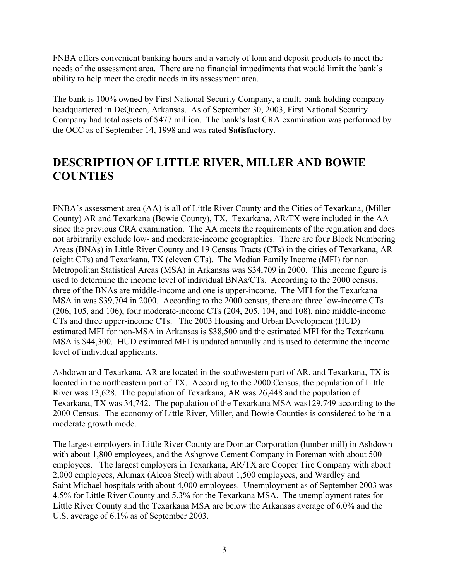FNBA offers convenient banking hours and a variety of loan and deposit products to meet the needs of the assessment area. There are no financial impediments that would limit the bank's ability to help meet the credit needs in its assessment area.

The bank is 100% owned by First National Security Company, a multi-bank holding company headquartered in DeQueen, Arkansas. As of September 30, 2003, First National Security Company had total assets of \$477 million. The bank's last CRA examination was performed by the OCC as of September 14, 1998 and was rated **Satisfactory**.

### **DESCRIPTION OF LITTLE RIVER, MILLER AND BOWIE COUNTIES**

FNBA's assessment area (AA) is all of Little River County and the Cities of Texarkana, (Miller County) AR and Texarkana (Bowie County), TX. Texarkana, AR/TX were included in the AA since the previous CRA examination. The AA meets the requirements of the regulation and does not arbitrarily exclude low- and moderate-income geographies. There are four Block Numbering Areas (BNAs) in Little River County and 19 Census Tracts (CTs) in the cities of Texarkana, AR (eight CTs) and Texarkana, TX (eleven CTs). The Median Family Income (MFI) for non Metropolitan Statistical Areas (MSA) in Arkansas was \$34,709 in 2000. This income figure is used to determine the income level of individual BNAs/CTs. According to the 2000 census, three of the BNAs are middle-income and one is upper-income. The MFI for the Texarkana MSA in was \$39,704 in 2000. According to the 2000 census, there are three low-income CTs (206, 105, and 106), four moderate-income CTs (204, 205, 104, and 108), nine middle-income CTs and three upper-income CTs. The 2003 Housing and Urban Development (HUD) estimated MFI for non-MSA in Arkansas is \$38,500 and the estimated MFI for the Texarkana MSA is \$44,300. HUD estimated MFI is updated annually and is used to determine the income level of individual applicants.

Ashdown and Texarkana, AR are located in the southwestern part of AR, and Texarkana, TX is located in the northeastern part of TX. According to the 2000 Census, the population of Little River was 13,628. The population of Texarkana, AR was 26,448 and the population of Texarkana, TX was 34,742. The population of the Texarkana MSA was129,749 according to the 2000 Census. The economy of Little River, Miller, and Bowie Counties is considered to be in a moderate growth mode.

The largest employers in Little River County are Domtar Corporation (lumber mill) in Ashdown with about 1,800 employees, and the Ashgrove Cement Company in Foreman with about 500 employees. The largest employers in Texarkana, AR/TX are Cooper Tire Company with about 2,000 employees, Alumax (Alcoa Steel) with about 1,500 employees, and Wardley and Saint Michael hospitals with about 4,000 employees. Unemployment as of September 2003 was 4.5% for Little River County and 5.3% for the Texarkana MSA. The unemployment rates for Little River County and the Texarkana MSA are below the Arkansas average of 6.0% and the U.S. average of 6.1% as of September 2003.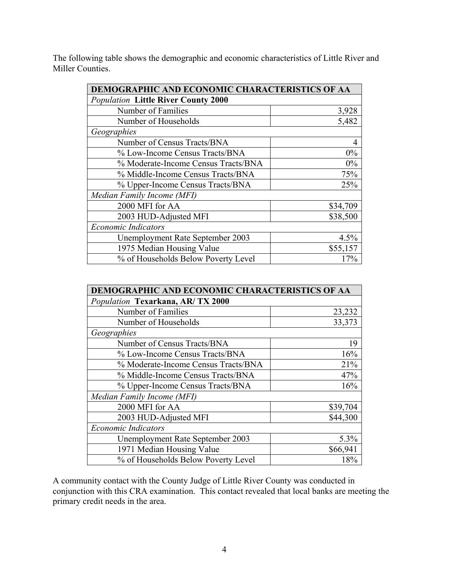The following table shows the demographic and economic characteristics of Little River and Miller Counties.

| DEMOGRAPHIC AND ECONOMIC CHARACTERISTICS OF AA |                |  |  |  |  |  |  |
|------------------------------------------------|----------------|--|--|--|--|--|--|
| <b>Population Little River County 2000</b>     |                |  |  |  |  |  |  |
| Number of Families                             |                |  |  |  |  |  |  |
| Number of Households                           | 5,482          |  |  |  |  |  |  |
| Geographies                                    |                |  |  |  |  |  |  |
| Number of Census Tracts/BNA                    | $\overline{4}$ |  |  |  |  |  |  |
| % Low-Income Census Tracts/BNA                 | 0%             |  |  |  |  |  |  |
| % Moderate-Income Census Tracts/BNA            | 0%             |  |  |  |  |  |  |
| % Middle-Income Census Tracts/BNA              | 75%            |  |  |  |  |  |  |
| % Upper-Income Census Tracts/BNA               | 25%            |  |  |  |  |  |  |
| Median Family Income (MFI)                     |                |  |  |  |  |  |  |
| 2000 MFI for AA                                | \$34,709       |  |  |  |  |  |  |
| 2003 HUD-Adjusted MFI                          | \$38,500       |  |  |  |  |  |  |
| <b>Economic Indicators</b>                     |                |  |  |  |  |  |  |
| Unemployment Rate September 2003               | 4.5%           |  |  |  |  |  |  |
| 1975 Median Housing Value                      | \$55,157       |  |  |  |  |  |  |
| % of Households Below Poverty Level            | 17%            |  |  |  |  |  |  |

| DEMOGRAPHIC AND ECONOMIC CHARACTERISTICS OF AA |          |  |  |  |  |  |  |  |
|------------------------------------------------|----------|--|--|--|--|--|--|--|
| Population Texarkana, AR/TX 2000               |          |  |  |  |  |  |  |  |
| Number of Families<br>23,232                   |          |  |  |  |  |  |  |  |
| Number of Households                           | 33,373   |  |  |  |  |  |  |  |
| Geographies                                    |          |  |  |  |  |  |  |  |
| Number of Census Tracts/BNA                    | 19       |  |  |  |  |  |  |  |
| % Low-Income Census Tracts/BNA                 | 16%      |  |  |  |  |  |  |  |
| % Moderate-Income Census Tracts/BNA            | 21%      |  |  |  |  |  |  |  |
| % Middle-Income Census Tracts/BNA              | 47%      |  |  |  |  |  |  |  |
| % Upper-Income Census Tracts/BNA               | 16%      |  |  |  |  |  |  |  |
| Median Family Income (MFI)                     |          |  |  |  |  |  |  |  |
| 2000 MFI for AA                                | \$39,704 |  |  |  |  |  |  |  |
| 2003 HUD-Adjusted MFI                          | \$44,300 |  |  |  |  |  |  |  |
| <b>Economic Indicators</b>                     |          |  |  |  |  |  |  |  |
| Unemployment Rate September 2003               |          |  |  |  |  |  |  |  |
| 1971 Median Housing Value                      | \$66,941 |  |  |  |  |  |  |  |
| % of Households Below Poverty Level            | 18%      |  |  |  |  |  |  |  |

A community contact with the County Judge of Little River County was conducted in conjunction with this CRA examination. This contact revealed that local banks are meeting the primary credit needs in the area.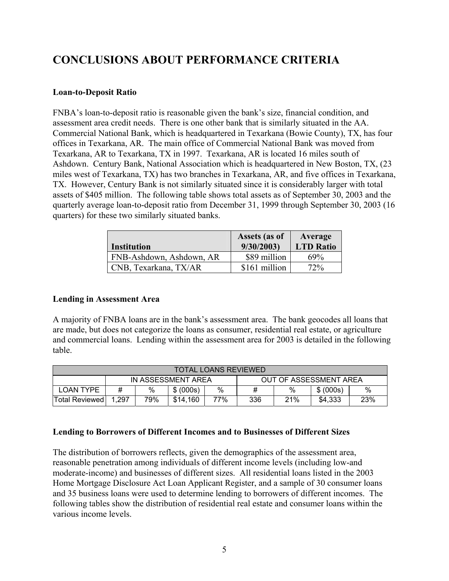## **CONCLUSIONS ABOUT PERFORMANCE CRITERIA**

#### **Loan-to-Deposit Ratio**

FNBA's loan-to-deposit ratio is reasonable given the bank's size, financial condition, and assessment area credit needs. There is one other bank that is similarly situated in the AA. Commercial National Bank, which is headquartered in Texarkana (Bowie County), TX, has four offices in Texarkana, AR. The main office of Commercial National Bank was moved from Texarkana, AR to Texarkana, TX in 1997. Texarkana, AR is located 16 miles south of Ashdown. Century Bank, National Association which is headquartered in New Boston, TX, (23 miles west of Texarkana, TX) has two branches in Texarkana, AR, and five offices in Texarkana, TX. However, Century Bank is not similarly situated since it is considerably larger with total assets of \$405 million. The following table shows total assets as of September 30, 2003 and the quarterly average loan-to-deposit ratio from December 31, 1999 through September 30, 2003 (16 quarters) for these two similarly situated banks.

| <b>Institution</b>       | <b>Assets (as of</b><br>9/30/2003 | Average<br><b>LTD Ratio</b> |
|--------------------------|-----------------------------------|-----------------------------|
| FNB-Ashdown, Ashdown, AR | \$89 million                      | 69%                         |
| CNB, Texarkana, TX/AR    | \$161 million                     | 72%                         |

#### **Lending in Assessment Area**

A majority of FNBA loans are in the bank's assessment area. The bank geocodes all loans that are made, but does not categorize the loans as consumer, residential real estate, or agriculture and commercial loans. Lending within the assessment area for 2003 is detailed in the following table.

| <b>TOTAL LOANS REVIEWED</b> |                                                          |   |           |   |                        |   |           |     |  |
|-----------------------------|----------------------------------------------------------|---|-----------|---|------------------------|---|-----------|-----|--|
|                             | IN ASSESSMENT AREA                                       |   |           |   | OUT OF ASSESSMENT AREA |   |           |     |  |
| <b>LOAN TYPE</b>            | #                                                        | % | \$ (000s) | % |                        | % | \$ (000s) | %   |  |
| <b>Total Reviewed</b>       | 79%<br>77%<br>\$14.160<br>21%<br>336<br>\$4.333<br>1.297 |   |           |   |                        |   |           | 23% |  |

#### **Lending to Borrowers of Different Incomes and to Businesses of Different Sizes**

The distribution of borrowers reflects, given the demographics of the assessment area, reasonable penetration among individuals of different income levels (including low-and moderate-income) and businesses of different sizes. All residential loans listed in the 2003 Home Mortgage Disclosure Act Loan Applicant Register, and a sample of 30 consumer loans and 35 business loans were used to determine lending to borrowers of different incomes. The following tables show the distribution of residential real estate and consumer loans within the various income levels.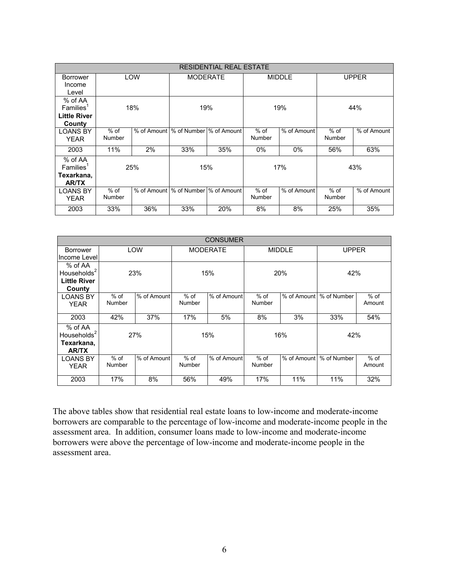|                          | <b>RESIDENTIAL REAL ESTATE</b> |     |                                         |     |               |             |               |             |  |  |
|--------------------------|--------------------------------|-----|-----------------------------------------|-----|---------------|-------------|---------------|-------------|--|--|
| Borrower                 |                                | LOW | <b>MODERATE</b>                         |     | <b>MIDDLE</b> |             | <b>UPPER</b>  |             |  |  |
| Income                   |                                |     |                                         |     |               |             |               |             |  |  |
| Level                    |                                |     |                                         |     |               |             |               |             |  |  |
| % of AA                  |                                |     |                                         |     |               |             |               |             |  |  |
| $F$ amilies <sup>1</sup> |                                | 18% | 19%                                     |     |               | 19%         | 44%           |             |  |  |
| <b>Little River</b>      |                                |     |                                         |     |               |             |               |             |  |  |
| County                   |                                |     |                                         |     |               |             |               |             |  |  |
| <b>LOANS BY</b>          | $%$ of                         |     | % of Amount   % of Number   % of Amount |     | $%$ of        | % of Amount | $%$ of        | % of Amount |  |  |
| <b>YEAR</b>              | <b>Number</b>                  |     |                                         |     | Number        |             | <b>Number</b> |             |  |  |
| 2003                     | 11%                            | 2%  | 33%                                     | 35% | $0\%$         | $0\%$       | 56%           | 63%         |  |  |
| % of AA                  |                                |     |                                         |     |               |             |               |             |  |  |
| Families <sup>1</sup>    |                                | 25% | 15%                                     |     | 17%           |             | 43%           |             |  |  |
| Texarkana,               |                                |     |                                         |     |               |             |               |             |  |  |
| <b>AR/TX</b>             |                                |     |                                         |     |               |             |               |             |  |  |
| <b>LOANS BY</b>          | $%$ of                         |     | % of Amount   % of Number   % of Amount |     | $%$ of        | % of Amount | $%$ of        | % of Amount |  |  |
| <b>YEAR</b>              | Number                         |     |                                         |     | Number        |             | Number        |             |  |  |
| 2003                     | 33%                            | 36% | 33%                                     | 20% | 8%            | 8%          | 25%           | 35%         |  |  |

|                                                            | <b>CONSUMER</b>  |             |                         |             |                  |             |              |                  |  |  |
|------------------------------------------------------------|------------------|-------------|-------------------------|-------------|------------------|-------------|--------------|------------------|--|--|
| <b>Borrower</b><br>Income Level                            |                  | LOW         | <b>MODERATE</b>         |             | <b>MIDDLE</b>    |             | <b>UPPER</b> |                  |  |  |
| % of AA<br>Households $2$<br><b>Little River</b><br>County | 23%              |             | 15%                     |             | 20%              |             | 42%          |                  |  |  |
| <b>LOANS BY</b><br><b>YEAR</b>                             | $%$ of<br>Number | % of Amount | $%$ of<br><b>Number</b> | % of Amount | $%$ of<br>Number | % of Amount | % of Number  | $%$ of<br>Amount |  |  |
| 2003                                                       | 42%              | 37%         | 17%                     | 5%          | 8%               | 3%          | 33%          | 54%              |  |  |
| % of AA<br>Households $2$<br>Texarkana,<br><b>AR/TX</b>    | 27%              |             | 15%                     |             |                  | 16%         | 42%          |                  |  |  |
| <b>LOANS BY</b><br><b>YEAR</b>                             | $%$ of<br>Number | % of Amount | $%$ of<br>Number        | % of Amount | $%$ of<br>Number | % of Amount | % of Number  | $%$ of<br>Amount |  |  |
| 2003                                                       | 17%              | 8%          | 56%                     | 49%         | 17%              | 11%         | 11%          | 32%              |  |  |

The above tables show that residential real estate loans to low-income and moderate-income borrowers are comparable to the percentage of low-income and moderate-income people in the assessment area. In addition, consumer loans made to low-income and moderate-income borrowers were above the percentage of low-income and moderate-income people in the assessment area.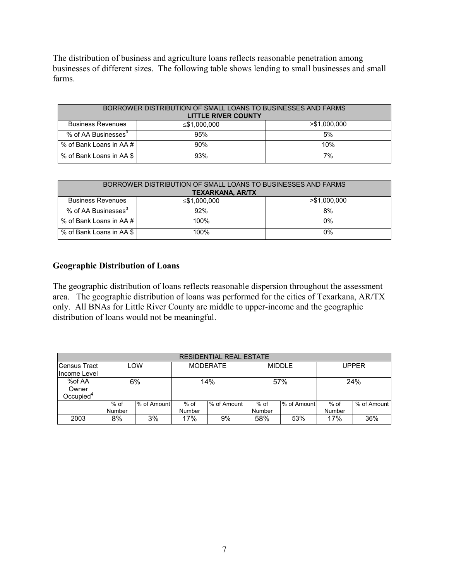The distribution of business and agriculture loans reflects reasonable penetration among businesses of different sizes. The following table shows lending to small businesses and small farms.

| BORROWER DISTRIBUTION OF SMALL LOANS TO BUSINESSES AND FARMS<br><b>LITTLE RIVER COUNTY</b> |                    |               |  |  |  |  |  |  |
|--------------------------------------------------------------------------------------------|--------------------|---------------|--|--|--|--|--|--|
| <b>Business Revenues</b>                                                                   | $\leq$ \$1,000,000 | > \$1,000,000 |  |  |  |  |  |  |
| % of AA Businesses <sup>3</sup>                                                            | 95%                | 5%            |  |  |  |  |  |  |
| % of Bank Loans in AA # I                                                                  | 90%                | 10%           |  |  |  |  |  |  |
| % of Bank Loans in AA \$                                                                   | 93%                | 7%            |  |  |  |  |  |  |

| BORROWER DISTRIBUTION OF SMALL LOANS TO BUSINESSES AND FARMS<br><b>TEXARKANA, AR/TX</b> |      |    |  |  |  |  |  |  |
|-----------------------------------------------------------------------------------------|------|----|--|--|--|--|--|--|
| $>$ \$1,000,000<br><b>Business Revenues</b><br>$\leq$ \$1,000,000                       |      |    |  |  |  |  |  |  |
| % of AA Businesses <sup>3</sup>                                                         | 92%  | 8% |  |  |  |  |  |  |
| % of Bank Loans in AA # I                                                               | 100% | 0% |  |  |  |  |  |  |
| % of Bank Loans in AA \$                                                                | 100% | 0% |  |  |  |  |  |  |

#### **Geographic Distribution of Loans**

The geographic distribution of loans reflects reasonable dispersion throughout the assessment area. The geographic distribution of loans was performed for the cities of Texarkana, AR/TX only. All BNAs for Little River County are middle to upper-income and the geographic distribution of loans would not be meaningful.

| <b>RESIDENTIAL REAL ESTATE</b> |        |             |                 |             |               |             |              |             |  |  |
|--------------------------------|--------|-------------|-----------------|-------------|---------------|-------------|--------------|-------------|--|--|
| Census Tract                   | LOW    |             | <b>MODERATE</b> |             | <b>MIDDLE</b> |             | <b>UPPER</b> |             |  |  |
| Income Level                   |        |             |                 |             |               |             |              |             |  |  |
| %of AA                         | 6%     |             | 14%             |             | 57%           |             | 24%          |             |  |  |
| Owner                          |        |             |                 |             |               |             |              |             |  |  |
| Occupied $^4$                  |        |             |                 |             |               |             |              |             |  |  |
|                                | $%$ of | % of Amount | $%$ of          | % of Amount | $%$ of        | % of Amount | $%$ of       | % of Amount |  |  |
|                                | Number |             | Number          |             | Number        |             | Number       |             |  |  |
| 2003                           | 8%     | 3%          | 17%             | 9%          | 58%           | 53%         | 17%          | 36%         |  |  |